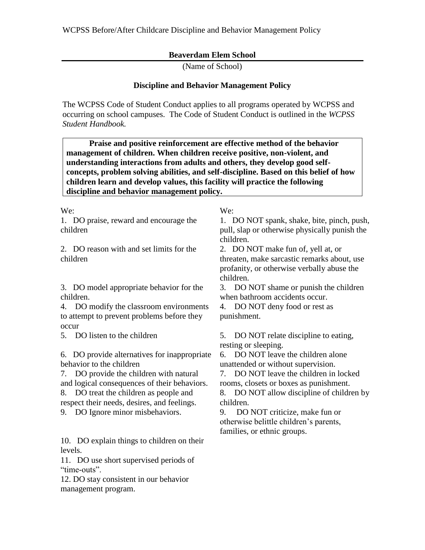## **Beaverdam Elem School**

(Name of School)

## **Discipline and Behavior Management Policy**

The WCPSS Code of Student Conduct applies to all programs operated by WCPSS and occurring on school campuses. The Code of Student Conduct is outlined in the *WCPSS Student Handbook.*

 **Praise and positive reinforcement are effective method of the behavior management of children. When children receive positive, non-violent, and understanding interactions from adults and others, they develop good selfconcepts, problem solving abilities, and self-discipline. Based on this belief of how children learn and develop values, this facility will practice the following discipline and behavior management policy.**

We: We:

1. DO praise, reward and encourage the children

2. DO reason with and set limits for the children

3. DO model appropriate behavior for the children.

4. DO modify the classroom environments to attempt to prevent problems before they occur

6. DO provide alternatives for inappropriate behavior to the children

7. DO provide the children with natural and logical consequences of their behaviors.

8. DO treat the children as people and respect their needs, desires, and feelings.

9. DO Ignore minor misbehaviors. 9. DO NOT criticize, make fun or

10. DO explain things to children on their levels.

11. DO use short supervised periods of "time-outs".

12. DO stay consistent in our behavior management program.

1. DO NOT spank, shake, bite, pinch, push, pull, slap or otherwise physically punish the children.

2. DO NOT make fun of, yell at, or threaten, make sarcastic remarks about, use profanity, or otherwise verbally abuse the children.

3. DO NOT shame or punish the children when bathroom accidents occur.

4. DO NOT deny food or rest as punishment.

5. DO listen to the children 5. DO NOT relate discipline to eating, resting or sleeping.

> 6. DO NOT leave the children alone unattended or without supervision.

7. DO NOT leave the children in locked rooms, closets or boxes as punishment.

8. DO NOT allow discipline of children by children.

otherwise belittle children's parents, families, or ethnic groups.